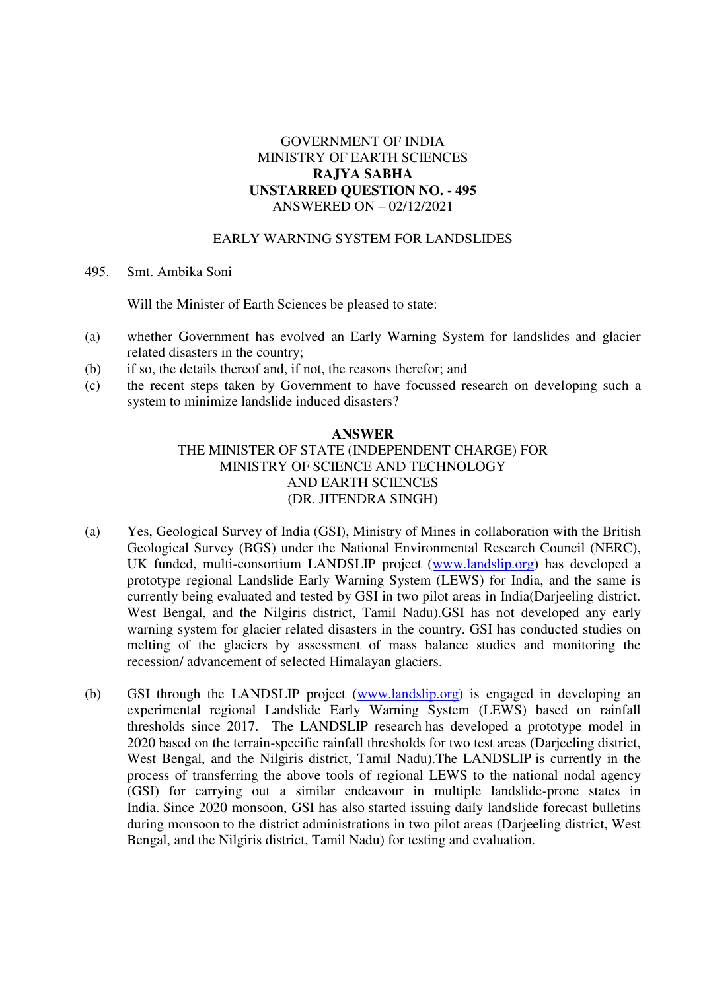## GOVERNMENT OF INDIA MINISTRY OF EARTH SCIENCES **RAJYA SABHA UNSTARRED QUESTION NO. - 495**  ANSWERED ON – 02/12/2021

### EARLY WARNING SYSTEM FOR LANDSLIDES

#### 495. Smt. Ambika Soni

Will the Minister of Earth Sciences be pleased to state:

- (a) whether Government has evolved an Early Warning System for landslides and glacier related disasters in the country;
- (b) if so, the details thereof and, if not, the reasons therefor; and
- (c) the recent steps taken by Government to have focussed research on developing such a system to minimize landslide induced disasters?

#### **ANSWER**

# THE MINISTER OF STATE (INDEPENDENT CHARGE) FOR MINISTRY OF SCIENCE AND TECHNOLOGY AND EARTH SCIENCES (DR. JITENDRA SINGH)

- (a) Yes, Geological Survey of India (GSI), Ministry of Mines in collaboration with the British Geological Survey (BGS) under the National Environmental Research Council (NERC), UK funded, multi-consortium LANDSLIP project [\(www.landslip.org\)](http://www.landslip.org/) has developed a prototype regional Landslide Early Warning System (LEWS) for India, and the same is currently being evaluated and tested by GSI in two pilot areas in India(Darjeeling district. West Bengal, and the Nilgiris district, Tamil Nadu).GSI has not developed any early warning system for glacier related disasters in the country. GSI has conducted studies on melting of the glaciers by assessment of mass balance studies and monitoring the recession/ advancement of selected Himalayan glaciers.
- (b) GSI through the LANDSLIP project [\(www.landslip.org\)](http://www.landslip.org/) is engaged in developing an experimental regional Landslide Early Warning System (LEWS) based on rainfall thresholds since 2017. The LANDSLIP research has developed a prototype model in 2020 based on the terrain-specific rainfall thresholds for two test areas (Darjeeling district, West Bengal, and the Nilgiris district, Tamil Nadu).The LANDSLIP is currently in the process of transferring the above tools of regional LEWS to the national nodal agency (GSI) for carrying out a similar endeavour in multiple landslide-prone states in India. Since 2020 monsoon, GSI has also started issuing daily landslide forecast bulletins during monsoon to the district administrations in two pilot areas (Darjeeling district, West Bengal, and the Nilgiris district, Tamil Nadu) for testing and evaluation.